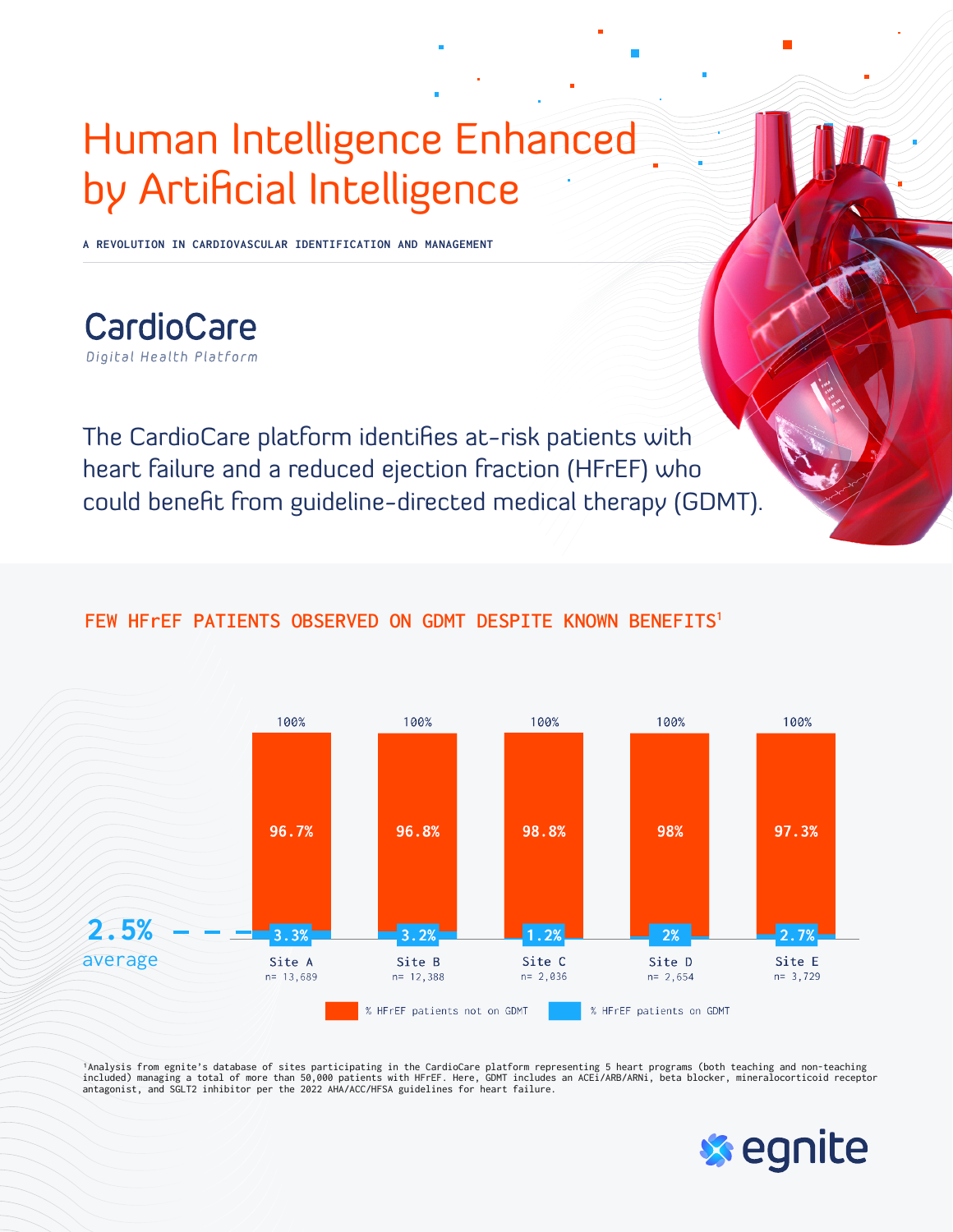## Human Intelligence Enhanced by Artificial Intelligence

**A REVOLUTION IN CARDIOVASCULAR IDENTIFICATION AND MANAGEMENT**

CardioCare Digital Health Platform

The CardioCare platform identifies at-risk patients with heart failure and a reduced ejection fraction (HFrEF) who could benefit from guideline-directed medical therapy (GDMT).

## **FEW HFrEF PATIENTS OBSERVED ON GDMT DESPITE KNOWN BENEFITS1**



'Analysis from egnite's database of sites participating in the CardioCare platform representing 5 heart programs (both teaching and non-teaching<br>included) managing a total of more than 50,000 patients with HFrEF. Here, GDM